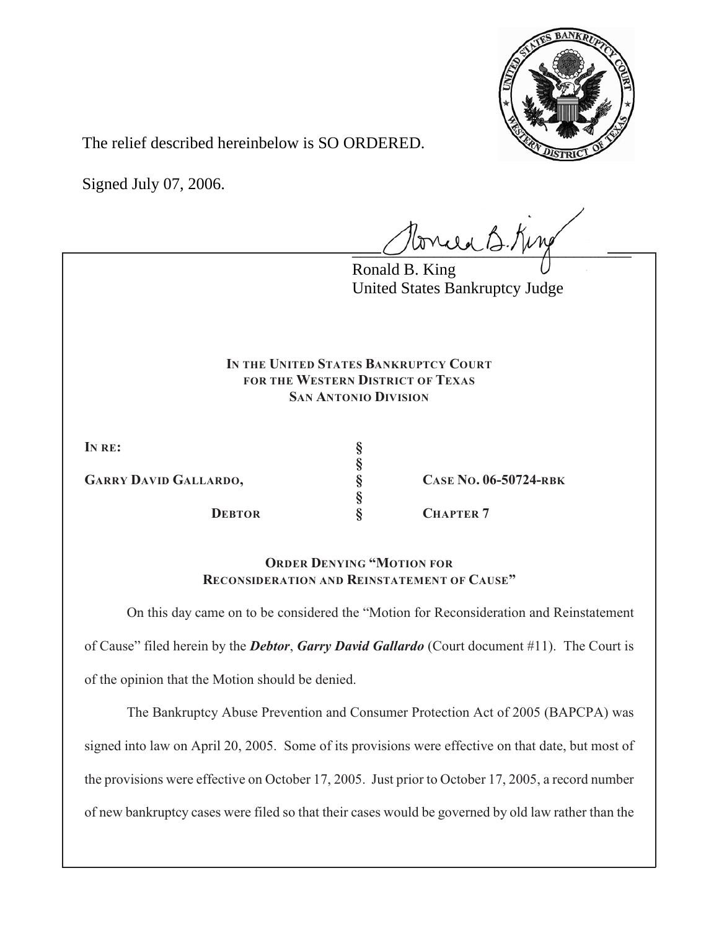

The relief described hereinbelow is SO ORDERED.

Signed July 07, 2006.

 $l$ oncea B. King

Ronald B. King United States Bankruptcy Judge

## **IN THE UNITED STATES BANKRUPTCY COURT FOR THE WESTERN DISTRICT OF TEXAS SAN ANTONIO DIVISION**

**§**

**§**

**IN RE: §**

**GARRY DAVID GALLARDO, § CASE NO. 06-50724-RBK**

**S CHAPTER 7** 

**ORDER DENYING "MOTION FOR RECONSIDERATION AND REINSTATEMENT OF CAUSE"**

On this day came on to be considered the "Motion for Reconsideration and Reinstatement of Cause" filed herein by the *Debtor*, *Garry David Gallardo* (Court document #11). The Court is of the opinion that the Motion should be denied.

The Bankruptcy Abuse Prevention and Consumer Protection Act of 2005 (BAPCPA) was signed into law on April 20, 2005. Some of its provisions were effective on that date, but most of the provisions were effective on October 17, 2005. Just prior to October 17, 2005, a record number of new bankruptcy cases were filed so that their cases would be governed by old law rather than the